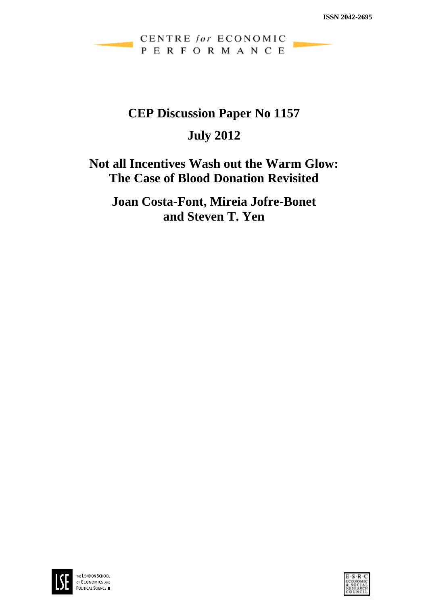CENTRE for ECONOMIC PERFORMANCE

# **CEP Discussion Paper No 1157**

# **July 2012**

# **Not all Incentives Wash out the Warm Glow: The Case of Blood Donation Revisited**

**Joan Costa-Font, Mireia Jofre-Bonet and Steven T. Yen**



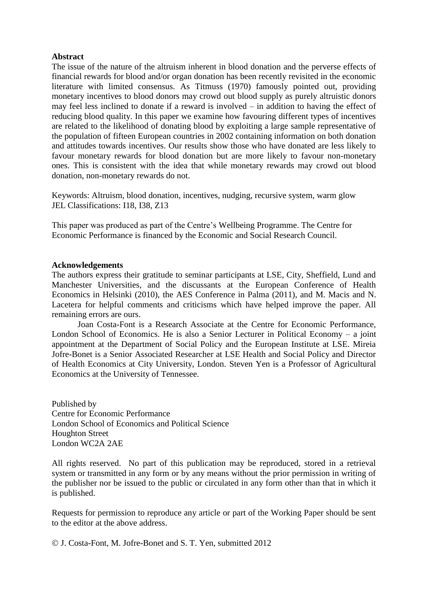#### **Abstract**

The issue of the nature of the altruism inherent in blood donation and the perverse effects of financial rewards for blood and/or organ donation has been recently revisited in the economic literature with limited consensus. As Titmuss (1970) famously pointed out, providing monetary incentives to blood donors may crowd out blood supply as purely altruistic donors may feel less inclined to donate if a reward is involved – in addition to having the effect of reducing blood quality. In this paper we examine how favouring different types of incentives are related to the likelihood of donating blood by exploiting a large sample representative of the population of fifteen European countries in 2002 containing information on both donation and attitudes towards incentives. Our results show those who have donated are less likely to favour monetary rewards for blood donation but are more likely to favour non-monetary ones. This is consistent with the idea that while monetary rewards may crowd out blood donation, non-monetary rewards do not.

Keywords: Altruism, blood donation, incentives, nudging, recursive system, warm glow JEL Classifications: I18, I38, Z13

This paper was produced as part of the Centre's Wellbeing Programme. The Centre for Economic Performance is financed by the Economic and Social Research Council.

#### **Acknowledgements**

The authors express their gratitude to seminar participants at LSE, City, Sheffield, Lund and Manchester Universities, and the discussants at the European Conference of Health Economics in Helsinki (2010), the AES Conference in Palma (2011), and M. Macis and N. Lacetera for helpful comments and criticisms which have helped improve the paper. All remaining errors are ours.

Joan Costa-Font is a Research Associate at the Centre for Economic Performance, London School of Economics. He is also a Senior Lecturer in Political Economy – a joint appointment at the Department of Social Policy and the European Institute at LSE. Mireia Jofre-Bonet is a Senior Associated Researcher at LSE Health and Social Policy and Director of Health Economics at City University, London. Steven Yen is a Professor of Agricultural Economics at the University of Tennessee.

Published by Centre for Economic Performance London School of Economics and Political Science Houghton Street London WC2A 2AE

All rights reserved. No part of this publication may be reproduced, stored in a retrieval system or transmitted in any form or by any means without the prior permission in writing of the publisher nor be issued to the public or circulated in any form other than that in which it is published.

Requests for permission to reproduce any article or part of the Working Paper should be sent to the editor at the above address.

J. Costa-Font, M. Jofre-Bonet and S. T. Yen, submitted 2012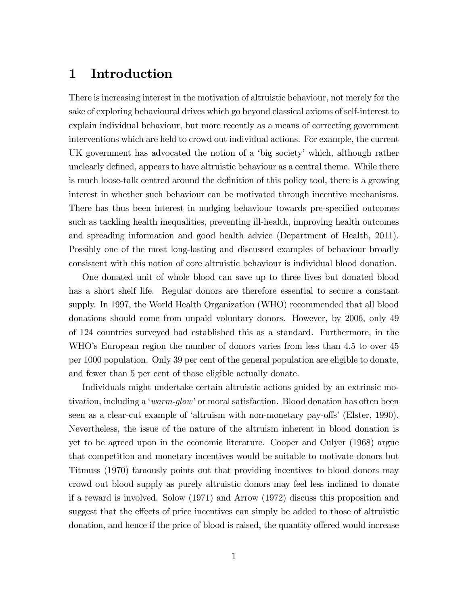## 1 Introduction

There is increasing interest in the motivation of altruistic behaviour, not merely for the sake of exploring behavioural drives which go beyond classical axioms of self-interest to explain individual behaviour, but more recently as a means of correcting government interventions which are held to crowd out individual actions. For example, the current UK government has advocated the notion of a 'big society' which, although rather unclearly defined, appears to have altruistic behaviour as a central theme. While there is much loose-talk centred around the definition of this policy tool, there is a growing interest in whether such behaviour can be motivated through incentive mechanisms. There has thus been interest in nudging behaviour towards pre-specified outcomes such as tackling health inequalities, preventing ill-health, improving health outcomes and spreading information and good health advice (Department of Health, 2011). Possibly one of the most long-lasting and discussed examples of behaviour broadly consistent with this notion of core altruistic behaviour is individual blood donation.

One donated unit of whole blood can save up to three lives but donated blood has a short shelf life. Regular donors are therefore essential to secure a constant supply. In 1997, the World Health Organization (WHO) recommended that all blood donations should come from unpaid voluntary donors. However, by 2006, only 49 of 124 countries surveyed had established this as a standard. Furthermore, in the WHO's European region the number of donors varies from less than 4.5 to over 45 per 1000 population. Only 39 per cent of the general population are eligible to donate, and fewer than 5 per cent of those eligible actually donate.

Individuals might undertake certain altruistic actions guided by an extrinsic motivation, including a '*warm-qlow*' or moral satisfaction. Blood donation has often been seen as a clear-cut example of 'altruism with non-monetary pay-offs' (Elster, 1990). Nevertheless, the issue of the nature of the altruism inherent in blood donation is yet to be agreed upon in the economic literature. Cooper and Culyer (1968) argue that competition and monetary incentives would be suitable to motivate donors but Titmuss (1970) famously points out that providing incentives to blood donors may crowd out blood supply as purely altruistic donors may feel less inclined to donate if a reward is involved. Solow (1971) and Arrow (1972) discuss this proposition and suggest that the effects of price incentives can simply be added to those of altruistic donation, and hence if the price of blood is raised, the quantity offered would increase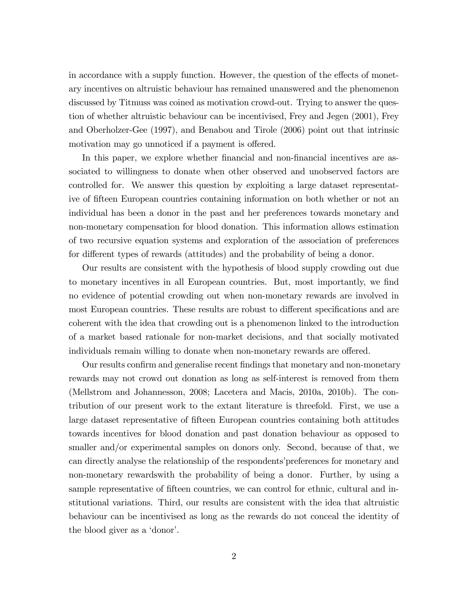in accordance with a supply function. However, the question of the effects of monetary incentives on altruistic behaviour has remained unanswered and the phenomenon discussed by Titmuss was coined as motivation crowd-out. Trying to answer the question of whether altruistic behaviour can be incentivised, Frey and Jegen (2001), Frey and Oberholzer-Gee (1997), and Benabou and Tirole (2006) point out that intrinsic motivation may go unnoticed if a payment is offered.

In this paper, we explore whether financial and non-financial incentives are associated to willingness to donate when other observed and unobserved factors are controlled for. We answer this question by exploiting a large dataset representative of fifteen European countries containing information on both whether or not an individual has been a donor in the past and her preferences towards monetary and non-monetary compensation for blood donation. This information allows estimation of two recursive equation systems and exploration of the association of preferences for different types of rewards (attitudes) and the probability of being a donor.

Our results are consistent with the hypothesis of blood supply crowding out due to monetary incentives in all European countries. But, most importantly, we find no evidence of potential crowding out when non-monetary rewards are involved in most European countries. These results are robust to different specifications and are coherent with the idea that crowding out is a phenomenon linked to the introduction of a market based rationale for non-market decisions, and that socially motivated individuals remain willing to donate when non-monetary rewards are offered.

Our results confirm and generalise recent findings that monetary and non-monetary rewards may not crowd out donation as long as self-interest is removed from them (Mellstrom and Johannesson, 2008; Lacetera and Macis, 2010a, 2010b). The contribution of our present work to the extant literature is threefold. First, we use a large dataset representative of fifteen European countries containing both attitudes towards incentives for blood donation and past donation behaviour as opposed to smaller and/or experimental samples on donors only. Second, because of that, we can directly analyse the relationship of the respondentsípreferences for monetary and non-monetary rewardswith the probability of being a donor. Further, by using a sample representative of fifteen countries, we can control for ethnic, cultural and institutional variations. Third, our results are consistent with the idea that altruistic behaviour can be incentivised as long as the rewards do not conceal the identity of the blood giver as a 'donor'.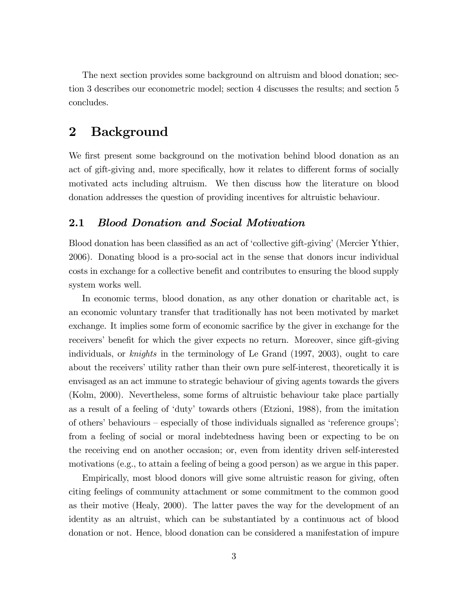The next section provides some background on altruism and blood donation; section 3 describes our econometric model; section 4 discusses the results; and section 5 concludes.

## 2 Background

We first present some background on the motivation behind blood donation as an act of gift-giving and, more specifically, how it relates to different forms of socially motivated acts including altruism. We then discuss how the literature on blood donation addresses the question of providing incentives for altruistic behaviour.

#### 2.1 Blood Donation and Social Motivation

Blood donation has been classified as an act of 'collective gift-giving' (Mercier Ythier, 2006). Donating blood is a pro-social act in the sense that donors incur individual costs in exchange for a collective benefit and contributes to ensuring the blood supply system works well.

In economic terms, blood donation, as any other donation or charitable act, is an economic voluntary transfer that traditionally has not been motivated by market exchange. It implies some form of economic sacrifice by the giver in exchange for the receivers' benefit for which the giver expects no return. Moreover, since gift-giving individuals, or knights in the terminology of Le Grand (1997, 2003), ought to care about the receivers' utility rather than their own pure self-interest, theoretically it is envisaged as an act immune to strategic behaviour of giving agents towards the givers (Kolm, 2000). Nevertheless, some forms of altruistic behaviour take place partially as a result of a feeling of ëdutyí towards others (Etzioni, 1988), from the imitation of others' behaviours – especially of those individuals signalled as 'reference groups'; from a feeling of social or moral indebtedness having been or expecting to be on the receiving end on another occasion; or, even from identity driven self-interested motivations (e.g., to attain a feeling of being a good person) as we argue in this paper.

Empirically, most blood donors will give some altruistic reason for giving, often citing feelings of community attachment or some commitment to the common good as their motive (Healy, 2000). The latter paves the way for the development of an identity as an altruist, which can be substantiated by a continuous act of blood donation or not. Hence, blood donation can be considered a manifestation of impure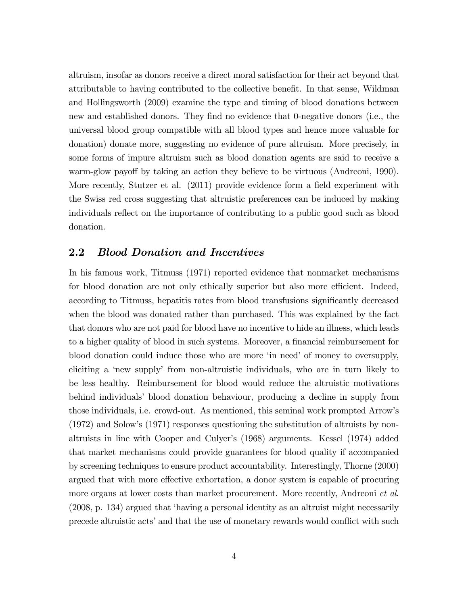altruism, insofar as donors receive a direct moral satisfaction for their act beyond that attributable to having contributed to the collective benefit. In that sense, Wildman and Hollingsworth (2009) examine the type and timing of blood donations between new and established donors. They find no evidence that 0-negative donors (i.e., the universal blood group compatible with all blood types and hence more valuable for donation) donate more, suggesting no evidence of pure altruism. More precisely, in some forms of impure altruism such as blood donation agents are said to receive a warm-glow payoff by taking an action they believe to be virtuous (Andreoni, 1990). More recently, Stutzer et al.  $(2011)$  provide evidence form a field experiment with the Swiss red cross suggesting that altruistic preferences can be induced by making individuals reflect on the importance of contributing to a public good such as blood donation.

#### 2.2 Blood Donation and Incentives

In his famous work, Titmuss (1971) reported evidence that nonmarket mechanisms for blood donation are not only ethically superior but also more efficient. Indeed, according to Titmuss, hepatitis rates from blood transfusions significantly decreased when the blood was donated rather than purchased. This was explained by the fact that donors who are not paid for blood have no incentive to hide an illness, which leads to a higher quality of blood in such systems. Moreover, a financial reimbursement for blood donation could induce those who are more 'in need' of money to oversupply, eliciting a 'new supply' from non-altruistic individuals, who are in turn likely to be less healthy. Reimbursement for blood would reduce the altruistic motivations behind individualsí blood donation behaviour, producing a decline in supply from those individuals, i.e. crowd-out. As mentioned, this seminal work prompted Arrowís  $(1972)$  and Solow's  $(1971)$  responses questioning the substitution of altruists by nonaltruists in line with Cooper and Culyer's (1968) arguments. Kessel (1974) added that market mechanisms could provide guarantees for blood quality if accompanied by screening techniques to ensure product accountability. Interestingly, Thorne (2000) argued that with more effective exhortation, a donor system is capable of procuring more organs at lower costs than market procurement. More recently, Andreoni *et al.* (2008, p. 134) argued that ëhaving a personal identity as an altruist might necessarily precede altruistic acts' and that the use of monetary rewards would conflict with such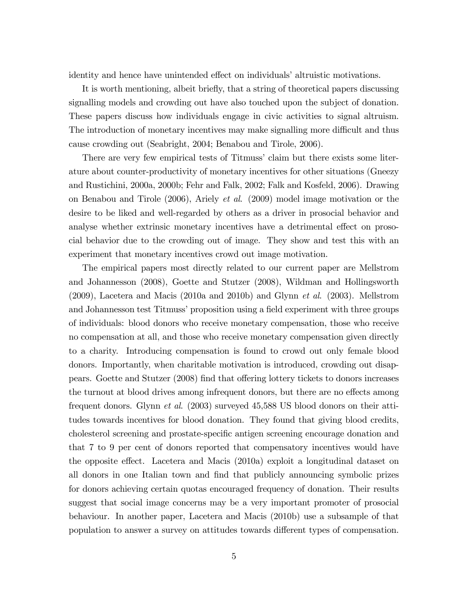identity and hence have unintended effect on individuals' altruistic motivations.

It is worth mentioning, albeit briefly, that a string of theoretical papers discussing signalling models and crowding out have also touched upon the subject of donation. These papers discuss how individuals engage in civic activities to signal altruism. The introduction of monetary incentives may make signalling more difficult and thus cause crowding out (Seabright, 2004; Benabou and Tirole, 2006).

There are very few empirical tests of Titmuss' claim but there exists some literature about counter-productivity of monetary incentives for other situations (Gneezy and Rustichini, 2000a, 2000b; Fehr and Falk, 2002; Falk and Kosfeld, 2006). Drawing on Benabou and Tirole (2006), Ariely et al. (2009) model image motivation or the desire to be liked and well-regarded by others as a driver in prosocial behavior and analyse whether extrinsic monetary incentives have a detrimental effect on prosocial behavior due to the crowding out of image. They show and test this with an experiment that monetary incentives crowd out image motivation.

The empirical papers most directly related to our current paper are Mellstrom and Johannesson (2008), Goette and Stutzer (2008), Wildman and Hollingsworth  $(2009)$ , Lacetera and Macis  $(2010a$  and  $2010b)$  and Glynn *et al.*  $(2003)$ . Mellstrom and Johannesson test Titmuss' proposition using a field experiment with three groups of individuals: blood donors who receive monetary compensation, those who receive no compensation at all, and those who receive monetary compensation given directly to a charity. Introducing compensation is found to crowd out only female blood donors. Importantly, when charitable motivation is introduced, crowding out disappears. Goette and Stutzer (2008) find that offering lottery tickets to donors increases the turnout at blood drives among infrequent donors, but there are no effects among frequent donors. Glynn et al. (2003) surveyed 45,588 US blood donors on their attitudes towards incentives for blood donation. They found that giving blood credits, cholesterol screening and prostate-speciÖc antigen screening encourage donation and that 7 to 9 per cent of donors reported that compensatory incentives would have the opposite effect. Lacetera and Macis  $(2010a)$  exploit a longitudinal dataset on all donors in one Italian town and Önd that publicly announcing symbolic prizes for donors achieving certain quotas encouraged frequency of donation. Their results suggest that social image concerns may be a very important promoter of prosocial behaviour. In another paper, Lacetera and Macis (2010b) use a subsample of that population to answer a survey on attitudes towards different types of compensation.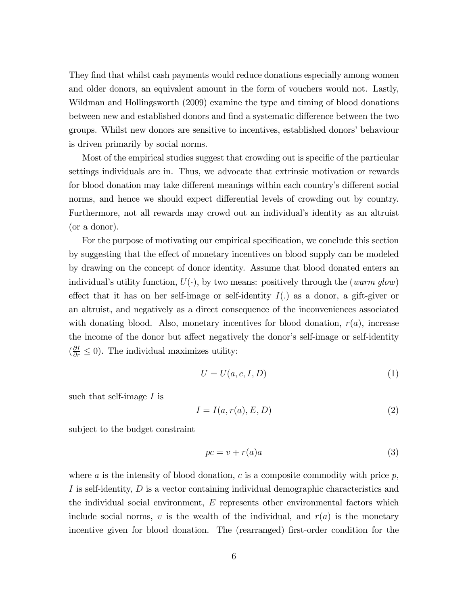They find that whilst cash payments would reduce donations especially among women and older donors, an equivalent amount in the form of vouchers would not. Lastly, Wildman and Hollingsworth (2009) examine the type and timing of blood donations between new and established donors and find a systematic difference between the two groups. Whilst new donors are sensitive to incentives, established donorsíbehaviour is driven primarily by social norms.

Most of the empirical studies suggest that crowding out is specific of the particular settings individuals are in. Thus, we advocate that extrinsic motivation or rewards for blood donation may take different meanings within each country's different social norms, and hence we should expect differential levels of crowding out by country. Furthermore, not all rewards may crowd out an individual's identity as an altruist (or a donor).

For the purpose of motivating our empirical specification, we conclude this section by suggesting that the effect of monetary incentives on blood supply can be modeled by drawing on the concept of donor identity. Assume that blood donated enters an individual's utility function,  $U(\cdot)$ , by two means: positively through the (warm glow) effect that it has on her self-image or self-identity  $I(.)$  as a donor, a gift-giver or an altruist, and negatively as a direct consequence of the inconveniences associated with donating blood. Also, monetary incentives for blood donation,  $r(a)$ , increase the income of the donor but affect negatively the donor's self-image or self-identity  $(\frac{\partial I}{\partial r} \leq 0)$ . The individual maximizes utility:

$$
U = U(a, c, I, D) \tag{1}
$$

such that self-image  $I$  is

$$
I = I(a, r(a), E, D) \tag{2}
$$

subject to the budget constraint

$$
pc = v + r(a)a \tag{3}
$$

where a is the intensity of blood donation, c is a composite commodity with price  $p$ , I is self-identity,  $D$  is a vector containing individual demographic characteristics and the individual social environment,  $E$  represents other environmental factors which include social norms, v is the wealth of the individual, and  $r(a)$  is the monetary incentive given for blood donation. The (rearranged) first-order condition for the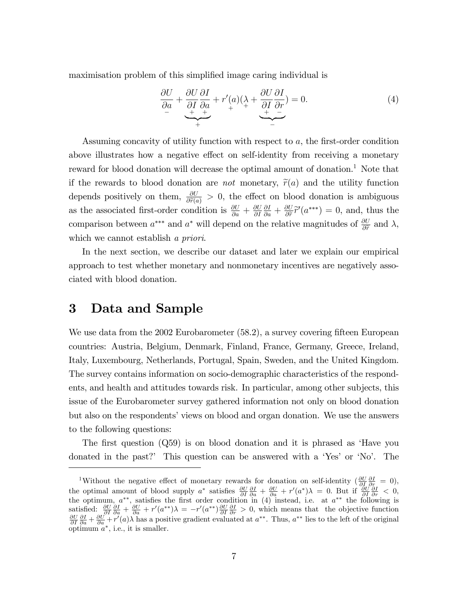maximisation problem of this simplified image caring individual is

$$
\frac{\partial U}{\partial a} + \underbrace{\frac{\partial U}{\partial I} \frac{\partial I}{\partial a}}_{+} + r'(a)(\lambda + \underbrace{\frac{\partial U}{\partial I} \frac{\partial I}{\partial r}}_{-}) = 0.
$$
\n(4)

Assuming concavity of utility function with respect to  $a$ , the first-order condition above illustrates how a negative effect on self-identity from receiving a monetary reward for blood donation will decrease the optimal amount of donation.<sup>1</sup> Note that if the rewards to blood donation are *not* monetary,  $\tilde{r}(a)$  and the utility function depends positively on them,  $\frac{\partial U}{\partial \tilde{r}(a)} > 0$ , the effect on blood donation is ambiguous as the associated first-order condition is  $\frac{\partial U}{\partial a} + \frac{\partial U}{\partial I}$  $\partial I$  $\frac{\partial I}{\partial a} + \frac{\partial U}{\partial \widetilde{r}}$  $\frac{\partial U}{\partial \widetilde{r}}\widetilde{r}'(a^{***})=0$ , and, thus the comparison between  $a^{***}$  and  $a^*$  will depend on the relative magnitudes of  $\frac{\partial U}{\partial \tilde{r}}$  and  $\lambda$ , which we cannot establish a priori.

In the next section, we describe our dataset and later we explain our empirical approach to test whether monetary and nonmonetary incentives are negatively associated with blood donation.

## 3 Data and Sample

We use data from the 2002 Eurobarometer (58.2), a survey covering fifteen European countries: Austria, Belgium, Denmark, Finland, France, Germany, Greece, Ireland, Italy, Luxembourg, Netherlands, Portugal, Spain, Sweden, and the United Kingdom. The survey contains information on socio-demographic characteristics of the respondents, and health and attitudes towards risk. In particular, among other subjects, this issue of the Eurobarometer survey gathered information not only on blood donation but also on the respondents' views on blood and organ donation. We use the answers to the following questions:

The first question  $(Q59)$  is on blood donation and it is phrased as 'Have you donated in the past?<sup>7</sup> This question can be answered with a 'Yes' or 'No'. The

<sup>&</sup>lt;sup>1</sup>Without the negative effect of monetary rewards for donation on self-identity  $\left(\frac{\partial U}{\partial I}\frac{\partial I}{\partial r}\right) = 0$ , the optimal amount of blood supply  $a^*$  satisfies  $\frac{\partial U}{\partial I} \frac{\partial I}{\partial a} + \frac{\partial U}{\partial a} + r'(a^*)\lambda = 0$ . But if  $\frac{\partial U}{\partial I} \frac{\partial I}{\partial r} < 0$ , the optimum,  $a^{**}$ , satisfies the first order condition in (4) instead, i.e. at  $a^{**}$  the following is satisfied:  $\frac{\partial U}{\partial I} \frac{\partial I}{\partial a} + \frac{\partial U}{\partial a} + r'(a^{**})\lambda = -r'(a^{**})\frac{\partial U}{\partial I} \frac{\partial I}{\partial r} > 0$ , which means that the objective function  $\frac{\partial U}{\partial I} \frac{\partial I}{\partial a} + \frac{\partial U}{\partial a} + r'(a)\lambda$  has a positive gradient evaluated at  $a^{**}$ . Thus,  $a^{**$ optimum  $a^*$ , i.e., it is smaller.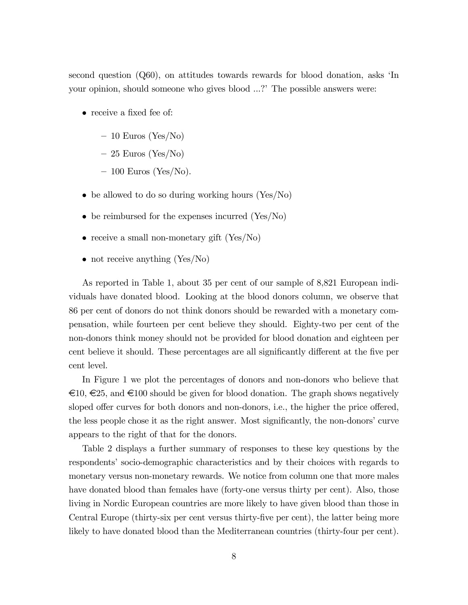second question  $(Q60)$ , on attitudes towards rewards for blood donation, asks  $\text{In}$ your opinion, should someone who gives blood ...?' The possible answers were:

- receive a fixed fee of:
	- $-10$  Euros (Yes/No)
	- $-25$  Euros (Yes/No)
	- $-100$  Euros (Yes/No).
- $\bullet$  be allowed to do so during working hours (Yes/No)
- $\bullet$  be reimbursed for the expenses incurred (Yes/No)
- $\bullet$  receive a small non-monetary gift (Yes/No)
- not receive anything (Yes/No)

As reported in Table 1, about 35 per cent of our sample of 8,821 European individuals have donated blood. Looking at the blood donors column, we observe that 86 per cent of donors do not think donors should be rewarded with a monetary compensation, while fourteen per cent believe they should. Eighty-two per cent of the non-donors think money should not be provided for blood donation and eighteen per cent believe it should. These percentages are all significantly different at the five per cent level.

In Figure 1 we plot the percentages of donors and non-donors who believe that  $\epsilon$ 10,  $\epsilon$ 25, and  $\epsilon$ 100 should be given for blood donation. The graph shows negatively sloped offer curves for both donors and non-donors, i.e., the higher the price offered, the less people chose it as the right answer. Most significantly, the non-donors' curve appears to the right of that for the donors.

Table 2 displays a further summary of responses to these key questions by the respondents' socio-demographic characteristics and by their choices with regards to monetary versus non-monetary rewards. We notice from column one that more males have donated blood than females have (forty-one versus thirty per cent). Also, those living in Nordic European countries are more likely to have given blood than those in Central Europe (thirty-six per cent versus thirty-Öve per cent), the latter being more likely to have donated blood than the Mediterranean countries (thirty-four per cent).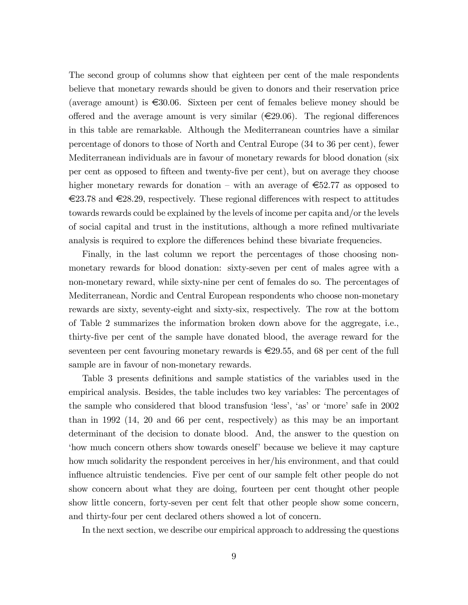The second group of columns show that eighteen per cent of the male respondents believe that monetary rewards should be given to donors and their reservation price (average amount) is  $\epsilon$ 30.06. Sixteen per cent of females believe money should be offered and the average amount is very similar  $(\text{\textless}=29.06)$ . The regional differences in this table are remarkable. Although the Mediterranean countries have a similar percentage of donors to those of North and Central Europe (34 to 36 per cent), fewer Mediterranean individuals are in favour of monetary rewards for blood donation (six per cent as opposed to Öfteen and twenty-Öve per cent), but on average they choose higher monetary rewards for donation – with an average of  $\epsilon$ 52.77 as opposed to  $\epsilon$ 23.78 and  $\epsilon$ 28.29, respectively. These regional differences with respect to attitudes towards rewards could be explained by the levels of income per capita and/or the levels of social capital and trust in the institutions, although a more refined multivariate analysis is required to explore the differences behind these bivariate frequencies.

Finally, in the last column we report the percentages of those choosing nonmonetary rewards for blood donation: sixty-seven per cent of males agree with a non-monetary reward, while sixty-nine per cent of females do so. The percentages of Mediterranean, Nordic and Central European respondents who choose non-monetary rewards are sixty, seventy-eight and sixty-six, respectively. The row at the bottom of Table 2 summarizes the information broken down above for the aggregate, i.e., thirty-Öve per cent of the sample have donated blood, the average reward for the seventeen per cent favouring monetary rewards is  $\in 29.55$ , and 68 per cent of the full sample are in favour of non-monetary rewards.

Table 3 presents definitions and sample statistics of the variables used in the empirical analysis. Besides, the table includes two key variables: The percentages of the sample who considered that blood transfusion 'less', 'as' or 'more' safe in 2002 than in 1992 (14, 20 and 66 per cent, respectively) as this may be an important determinant of the decision to donate blood. And, the answer to the question on thow much concern others show towards oneself because we believe it may capture how much solidarity the respondent perceives in her/his environment, and that could influence altruistic tendencies. Five per cent of our sample felt other people do not show concern about what they are doing, fourteen per cent thought other people show little concern, forty-seven per cent felt that other people show some concern, and thirty-four per cent declared others showed a lot of concern.

In the next section, we describe our empirical approach to addressing the questions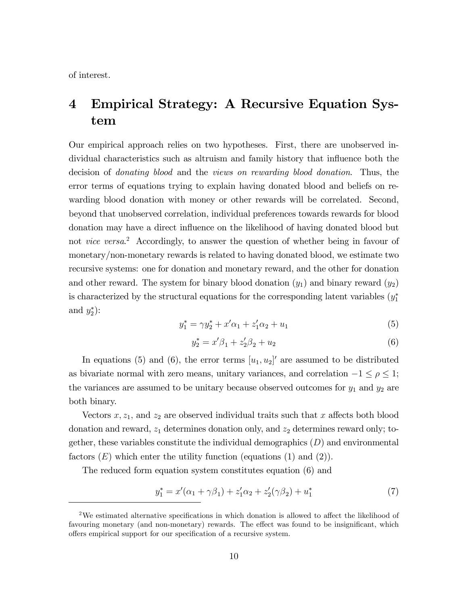of interest.

# 4 Empirical Strategy: A Recursive Equation System

Our empirical approach relies on two hypotheses. First, there are unobserved individual characteristics such as altruism and family history that influence both the decision of donating blood and the views on rewarding blood donation. Thus, the error terms of equations trying to explain having donated blood and beliefs on rewarding blood donation with money or other rewards will be correlated. Second, beyond that unobserved correlation, individual preferences towards rewards for blood donation may have a direct influence on the likelihood of having donated blood but not *vice versa*.<sup>2</sup> Accordingly, to answer the question of whether being in favour of monetary/non-monetary rewards is related to having donated blood, we estimate two recursive systems: one for donation and monetary reward, and the other for donation and other reward. The system for binary blood donation  $(y_1)$  and binary reward  $(y_2)$ is characterized by the structural equations for the corresponding latent variables  $(y_1^*$ and  $y_2^*$ :

$$
y_1^* = \gamma y_2^* + x'\alpha_1 + z'_1\alpha_2 + u_1 \tag{5}
$$

$$
y_2^* = x'\beta_1 + z'_2\beta_2 + u_2\tag{6}
$$

In equations (5) and (6), the error terms  $[u_1, u_2]'$  are assumed to be distributed as bivariate normal with zero means, unitary variances, and correlation  $-1 \leq \rho \leq 1$ ; the variances are assumed to be unitary because observed outcomes for  $y_1$  and  $y_2$  are both binary.

Vectors  $x, z_1$ , and  $z_2$  are observed individual traits such that x affects both blood donation and reward,  $z_1$  determines donation only, and  $z_2$  determines reward only; together, these variables constitute the individual demographics  $(D)$  and environmental factors  $(E)$  which enter the utility function (equations  $(1)$  and  $(2)$ ).

The reduced form equation system constitutes equation (6) and

$$
y_1^* = x'(\alpha_1 + \gamma \beta_1) + z_1' \alpha_2 + z_2'(\gamma \beta_2) + u_1^*
$$
\n(7)

<sup>&</sup>lt;sup>2</sup>We estimated alternative specifications in which donation is allowed to affect the likelihood of favouring monetary (and non-monetary) rewards. The effect was found to be insignificant, which offers empirical support for our specification of a recursive system.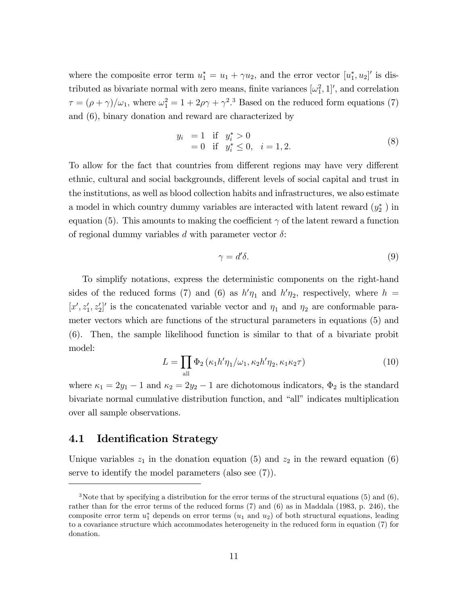where the composite error term  $u_1^* = u_1 + \gamma u_2$ , and the error vector  $[u_1^*, u_2]'$  is distributed as bivariate normal with zero means, finite variances  $[\omega_1^2, 1]'$ , and correlation  $\tau = (\rho + \gamma)/\omega_1$ , where  $\omega_1^2 = 1 + 2\rho\gamma + \gamma^2$ <sup>3</sup> Based on the reduced form equations (7) and (6), binary donation and reward are characterized by

$$
y_i = 1 \quad \text{if} \quad y_i^* > 0 = 0 \quad \text{if} \quad y_i^* \le 0, \quad i = 1, 2.
$$
 (8)

To allow for the fact that countries from different regions may have very different ethnic, cultural and social backgrounds, different levels of social capital and trust in the institutions, as well as blood collection habits and infrastructures, we also estimate a model in which country dummy variables are interacted with latent reward  $(y_2^*)$  in equation (5). This amounts to making the coefficient  $\gamma$  of the latent reward a function of regional dummy variables d with parameter vector  $\delta$ :

$$
\gamma = d'\delta. \tag{9}
$$

To simplify notations, express the deterministic components on the right-hand sides of the reduced forms (7) and (6) as  $h'\eta_1$  and  $h'\eta_2$ , respectively, where  $h =$  $[x', z'_1, z'_2]'$  is the concatenated variable vector and  $\eta_1$  and  $\eta_2$  are conformable parameter vectors which are functions of the structural parameters in equations (5) and (6). Then, the sample likelihood function is similar to that of a bivariate probit model:

$$
L = \prod_{\text{all}} \Phi_2 \left( \kappa_1 h' \eta_1 / \omega_1, \kappa_2 h' \eta_2, \kappa_1 \kappa_2 \tau \right) \tag{10}
$$

where  $\kappa_1 = 2y_1 - 1$  and  $\kappa_2 = 2y_2 - 1$  are dichotomous indicators,  $\Phi_2$  is the standard bivariate normal cumulative distribution function, and "all" indicates multiplication over all sample observations.

### 4.1 Identification Strategy

Unique variables  $z_1$  in the donation equation (5) and  $z_2$  in the reward equation (6) serve to identify the model parameters (also see (7)).

<sup>&</sup>lt;sup>3</sup>Note that by specifying a distribution for the error terms of the structural equations (5) and (6), rather than for the error terms of the reduced forms (7) and (6) as in Maddala (1983, p. 246), the composite error term  $u_1^*$  depends on error terms  $(u_1 \text{ and } u_2)$  of both structural equations, leading to a covariance structure which accommodates heterogeneity in the reduced form in equation (7) for donation.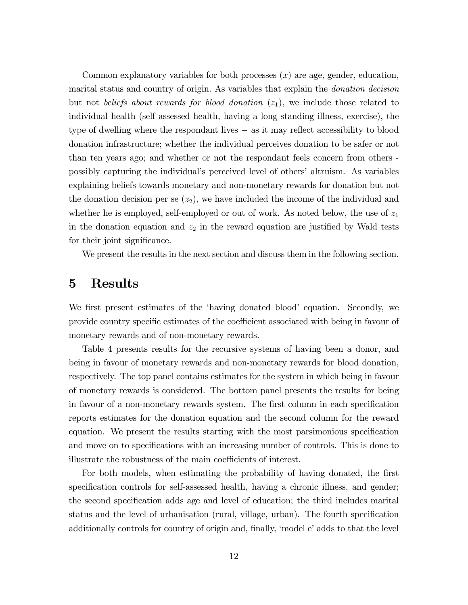Common explanatory variables for both processes  $(x)$  are age, gender, education, marital status and country of origin. As variables that explain the donation decision but not *beliefs about rewards for blood donation*  $(z_1)$ , we include those related to individual health (self assessed health, having a long standing illness, exercise), the type of dwelling where the respondant lives  $-$  as it may reflect accessibility to blood donation infrastructure; whether the individual perceives donation to be safer or not than ten years ago; and whether or not the respondant feels concern from others possibly capturing the individual's perceived level of others' altruism. As variables explaining beliefs towards monetary and non-monetary rewards for donation but not the donation decision per se  $(z_2)$ , we have included the income of the individual and whether he is employed, self-employed or out of work. As noted below, the use of  $z_1$ in the donation equation and  $z_2$  in the reward equation are justified by Wald tests for their joint significance.

We present the results in the next section and discuss them in the following section.

## 5 Results

We first present estimates of the 'having donated blood' equation. Secondly, we provide country specific estimates of the coefficient associated with being in favour of monetary rewards and of non-monetary rewards.

Table 4 presents results for the recursive systems of having been a donor, and being in favour of monetary rewards and non-monetary rewards for blood donation, respectively. The top panel contains estimates for the system in which being in favour of monetary rewards is considered. The bottom panel presents the results for being in favour of a non-monetary rewards system. The first column in each specification reports estimates for the donation equation and the second column for the reward equation. We present the results starting with the most parsimonious specification and move on to specifications with an increasing number of controls. This is done to illustrate the robustness of the main coefficients of interest.

For both models, when estimating the probability of having donated, the first specification controls for self-assessed health, having a chronic illness, and gender; the second specification adds age and level of education; the third includes marital status and the level of urbanisation (rural, village, urban). The fourth specification additionally controls for country of origin and, finally, 'model e' adds to that the level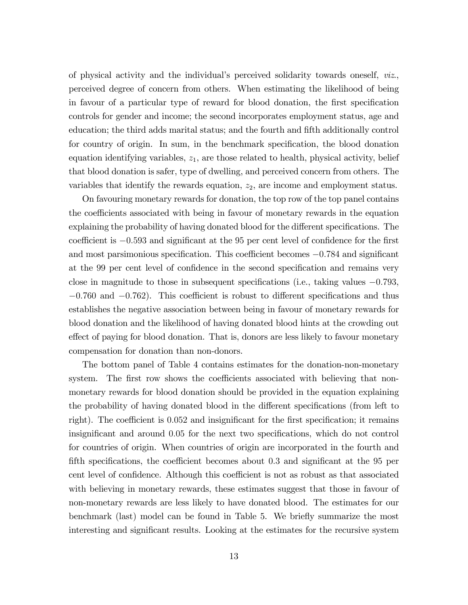of physical activity and the individual's perceived solidarity towards oneself, *viz.*, perceived degree of concern from others. When estimating the likelihood of being in favour of a particular type of reward for blood donation, the first specification controls for gender and income; the second incorporates employment status, age and education; the third adds marital status; and the fourth and fifth additionally control for country of origin. In sum, in the benchmark specification, the blood donation equation identifying variables,  $z_1$ , are those related to health, physical activity, belief that blood donation is safer, type of dwelling, and perceived concern from others. The variables that identify the rewards equation,  $z_2$ , are income and employment status.

On favouring monetary rewards for donation, the top row of the top panel contains the coefficients associated with being in favour of monetary rewards in the equation explaining the probability of having donated blood for the different specifications. The coefficient is  $-0.593$  and significant at the 95 per cent level of confidence for the first and most parsimonious specification. This coefficient becomes  $-0.784$  and significant at the 99 per cent level of confidence in the second specification and remains very close in magnitude to those in subsequent specifications (i.e., taking values  $-0.793$ ,  $-0.760$  and  $-0.762$ ). This coefficient is robust to different specifications and thus establishes the negative association between being in favour of monetary rewards for blood donation and the likelihood of having donated blood hints at the crowding out effect of paying for blood donation. That is, donors are less likely to favour monetary compensation for donation than non-donors.

The bottom panel of Table 4 contains estimates for the donation-non-monetary system. The first row shows the coefficients associated with believing that nonmonetary rewards for blood donation should be provided in the equation explaining the probability of having donated blood in the different specifications (from left to right). The coefficient is  $0.052$  and insignificant for the first specification; it remains insignificant and around 0.05 for the next two specifications, which do not control for countries of origin. When countries of origin are incorporated in the fourth and fifth specifications, the coefficient becomes about  $0.3$  and significant at the 95 per cent level of confidence. Although this coefficient is not as robust as that associated with believing in monetary rewards, these estimates suggest that those in favour of non-monetary rewards are less likely to have donated blood. The estimates for our benchmark (last) model can be found in Table 5. We briefly summarize the most interesting and significant results. Looking at the estimates for the recursive system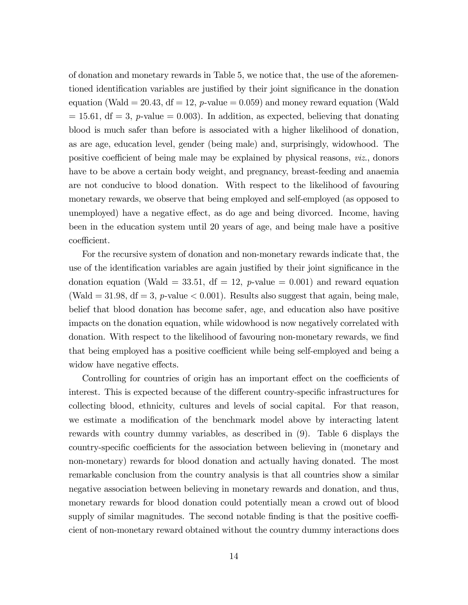of donation and monetary rewards in Table 5, we notice that, the use of the aforementioned identification variables are justified by their joint significance in the donation equation (Wald  $= 20.43$ , df  $= 12$ , p-value  $= 0.059$ ) and money reward equation (Wald  $= 15.61$ , df  $= 3$ , p-value  $= 0.003$ ). In addition, as expected, believing that donating blood is much safer than before is associated with a higher likelihood of donation, as are age, education level, gender (being male) and, surprisingly, widowhood. The positive coefficient of being male may be explained by physical reasons, *viz.*, donors have to be above a certain body weight, and pregnancy, breast-feeding and anaemia are not conducive to blood donation. With respect to the likelihood of favouring monetary rewards, we observe that being employed and self-employed (as opposed to unemployed) have a negative effect, as do age and being divorced. Income, having been in the education system until 20 years of age, and being male have a positive coefficient.

For the recursive system of donation and non-monetary rewards indicate that, the use of the identification variables are again justified by their joint significance in the donation equation (Wald  $=$  33.51, df  $=$  12, p-value  $=$  0.001) and reward equation (Wald  $= 31.98$ , df  $= 3$ , p-value  $< 0.001$ ). Results also suggest that again, being male, belief that blood donation has become safer, age, and education also have positive impacts on the donation equation, while widowhood is now negatively correlated with donation. With respect to the likelihood of favouring non-monetary rewards, we find that being employed has a positive coefficient while being self-employed and being a widow have negative effects.

Controlling for countries of origin has an important effect on the coefficients of interest. This is expected because of the different country-specific infrastructures for collecting blood, ethnicity, cultures and levels of social capital. For that reason, we estimate a modification of the benchmark model above by interacting latent rewards with country dummy variables, as described in (9). Table 6 displays the country-specific coefficients for the association between believing in (monetary and non-monetary) rewards for blood donation and actually having donated. The most remarkable conclusion from the country analysis is that all countries show a similar negative association between believing in monetary rewards and donation, and thus, monetary rewards for blood donation could potentially mean a crowd out of blood supply of similar magnitudes. The second notable finding is that the positive coefficient of non-monetary reward obtained without the country dummy interactions does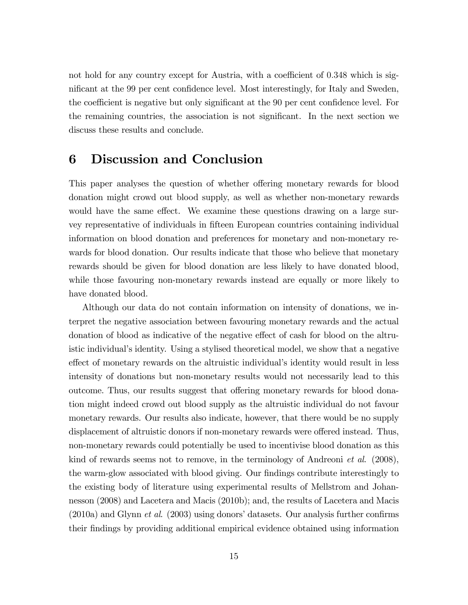not hold for any country except for Austria, with a coefficient of  $0.348$  which is significant at the 99 per cent confidence level. Most interestingly, for Italy and Sweden, the coefficient is negative but only significant at the 90 per cent confidence level. For the remaining countries, the association is not significant. In the next section we discuss these results and conclude.

## 6 Discussion and Conclusion

This paper analyses the question of whether offering monetary rewards for blood donation might crowd out blood supply, as well as whether non-monetary rewards would have the same effect. We examine these questions drawing on a large survey representative of individuals in Öfteen European countries containing individual information on blood donation and preferences for monetary and non-monetary rewards for blood donation. Our results indicate that those who believe that monetary rewards should be given for blood donation are less likely to have donated blood, while those favouring non-monetary rewards instead are equally or more likely to have donated blood.

Although our data do not contain information on intensity of donations, we interpret the negative association between favouring monetary rewards and the actual donation of blood as indicative of the negative effect of cash for blood on the altruistic individual's identity. Using a stylised theoretical model, we show that a negative effect of monetary rewards on the altruistic individual's identity would result in less intensity of donations but non-monetary results would not necessarily lead to this outcome. Thus, our results suggest that offering monetary rewards for blood donation might indeed crowd out blood supply as the altruistic individual do not favour monetary rewards. Our results also indicate, however, that there would be no supply displacement of altruistic donors if non-monetary rewards were offered instead. Thus, non-monetary rewards could potentially be used to incentivise blood donation as this kind of rewards seems not to remove, in the terminology of Andreoni *et al.*  $(2008)$ , the warm-glow associated with blood giving. Our findings contribute interestingly to the existing body of literature using experimental results of Mellstrom and Johannesson (2008) and Lacetera and Macis (2010b); and, the results of Lacetera and Macis  $(2010a)$  and Glynn *et al.*  $(2003)$  using donors' datasets. Our analysis further confirms their Öndings by providing additional empirical evidence obtained using information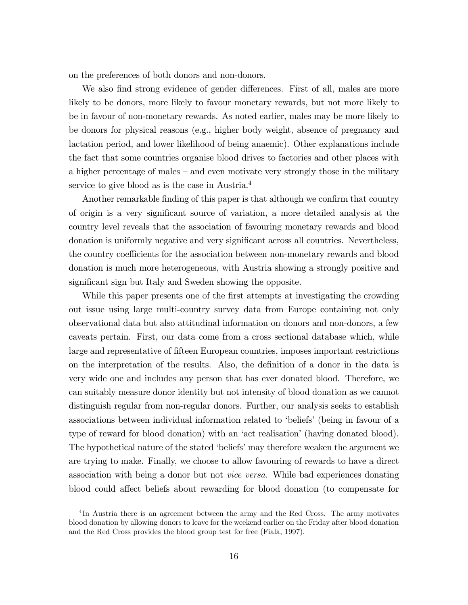on the preferences of both donors and non-donors.

We also find strong evidence of gender differences. First of all, males are more likely to be donors, more likely to favour monetary rewards, but not more likely to be in favour of non-monetary rewards. As noted earlier, males may be more likely to be donors for physical reasons (e.g., higher body weight, absence of pregnancy and lactation period, and lower likelihood of being anaemic). Other explanations include the fact that some countries organise blood drives to factories and other places with a higher percentage of males  $-$  and even motivate very strongly those in the military service to give blood as is the case in Austria.<sup>4</sup>

Another remarkable finding of this paper is that although we confirm that country of origin is a very signiÖcant source of variation, a more detailed analysis at the country level reveals that the association of favouring monetary rewards and blood donation is uniformly negative and very significant across all countries. Nevertheless, the country coefficients for the association between non-monetary rewards and blood donation is much more heterogeneous, with Austria showing a strongly positive and significant sign but Italy and Sweden showing the opposite.

While this paper presents one of the first attempts at investigating the crowding out issue using large multi-country survey data from Europe containing not only observational data but also attitudinal information on donors and non-donors, a few caveats pertain. First, our data come from a cross sectional database which, while large and representative of fifteen European countries, imposes important restrictions on the interpretation of the results. Also, the definition of a donor in the data is very wide one and includes any person that has ever donated blood. Therefore, we can suitably measure donor identity but not intensity of blood donation as we cannot distinguish regular from non-regular donors. Further, our analysis seeks to establish associations between individual information related to 'beliefs' (being in favour of a type of reward for blood donation) with an 'act realisation' (having donated blood). The hypothetical nature of the stated 'beliefs' may therefore weaken the argument we are trying to make. Finally, we choose to allow favouring of rewards to have a direct association with being a donor but not vice versa. While bad experiences donating blood could affect beliefs about rewarding for blood donation (to compensate for

<sup>4</sup> In Austria there is an agreement between the army and the Red Cross. The army motivates blood donation by allowing donors to leave for the weekend earlier on the Friday after blood donation and the Red Cross provides the blood group test for free (Fiala, 1997).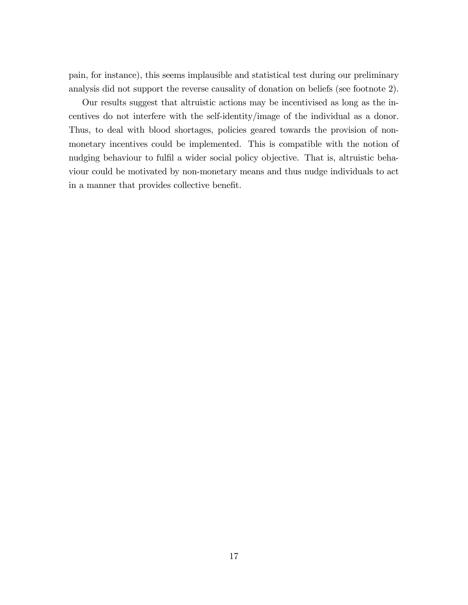pain, for instance), this seems implausible and statistical test during our preliminary analysis did not support the reverse causality of donation on beliefs (see footnote 2).

Our results suggest that altruistic actions may be incentivised as long as the incentives do not interfere with the self-identity/image of the individual as a donor. Thus, to deal with blood shortages, policies geared towards the provision of nonmonetary incentives could be implemented. This is compatible with the notion of nudging behaviour to fulfil a wider social policy objective. That is, altruistic behaviour could be motivated by non-monetary means and thus nudge individuals to act in a manner that provides collective benefit.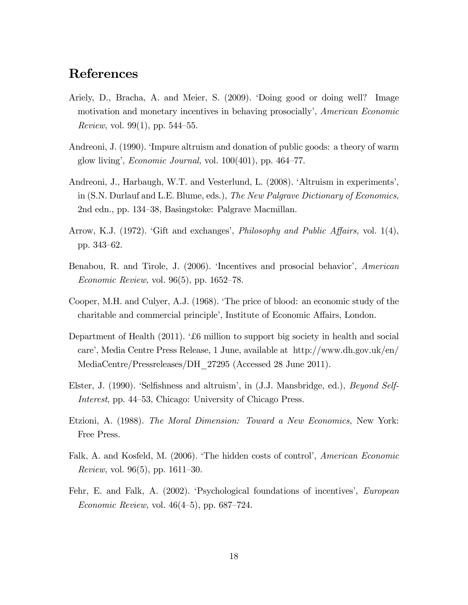## References

- Ariely, D., Bracha, A. and Meier, S. (2009). ëDoing good or doing well? Image motivation and monetary incentives in behaving prosocially', American Economic *Review*, vol. 99(1), pp. 544–55.
- Andreoni, J. (1990). 'Impure altruism and donation of public goods: a theory of warm glow living', *Economic Journal*, vol.  $100(401)$ , pp.  $464-77$ .
- Andreoni, J., Harbaugh, W.T. and Vesterlund, L. (2008). 'Altruism in experiments', in (S.N. Durlauf and L.E. Blume, eds.), The New Palgrave Dictionary of Economics, 2nd edn., pp. 134–38, Basingstoke: Palgrave Macmillan.
- Arrow, K.J. (1972). 'Gift and exchanges', *Philosophy and Public Affairs*, vol. 1(4), pp. 343–62.
- Benabou, R. and Tirole, J. (2006). The entives and prosocial behavior', American *Economic Review,* vol.  $96(5)$ , pp.  $1652-78$ .
- Cooper, M.H. and Culyer, A.J. (1968). The price of blood: an economic study of the charitable and commercial principle', Institute of Economic Affairs, London.
- Department of Health (2011). '£6 million to support big society in health and social care', Media Centre Press Release, 1 June, available at http://www.dh.gov.uk/en/ MediaCentre/Pressreleases/DH\_27295 (Accessed 28 June 2011).
- Elster, J. (1990). Selfishness and altruism', in (J.J. Mansbridge, ed.), Beyond Self-Interest, pp. 44–53, Chicago: University of Chicago Press.
- Etzioni, A. (1988). The Moral Dimension: Toward a New Economics, New York: Free Press.
- Falk, A. and Kosfeld, M. (2006). The hidden costs of control', American Economic *Review*, vol. 96(5), pp. 1611–30.
- Fehr, E. and Falk, A. (2002). 'Psychological foundations of incentives', European Economic Review, vol.  $46(4-5)$ , pp. 687–724.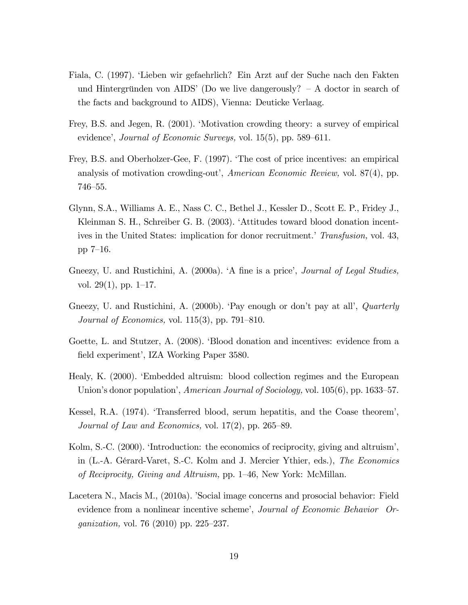- Fiala, C. (1997). ëLieben wir gefaehrlich? Ein Arzt auf der Suche nach den Fakten und Hintergründen von AIDS<sup> $\prime$ </sup> (Do we live dangerously?  $\overline{A}$  doctor in search of the facts and background to AIDS), Vienna: Deuticke Verlaag.
- Frey, B.S. and Jegen, R. (2001). 'Motivation crowding theory: a survey of empirical evidence', Journal of Economic Surveys, vol.  $15(5)$ , pp.  $589-611$ .
- Frey, B.S. and Oberholzer-Gee, F. (1997). The cost of price incentives: an empirical analysis of motivation crowding-out', American Economic Review, vol.  $87(4)$ , pp. 746-55.
- Glynn, S.A., Williams A. E., Nass C. C., Bethel J., Kessler D., Scott E. P., Fridey J., Kleinman S. H., Schreiber G. B. (2003). ëAttitudes toward blood donation incentives in the United States: implication for donor recruitment. Transfusion, vol. 43, pp  $7-16$ .
- Gneezy, U. and Rustichini, A. (2000a). A fine is a price', *Journal of Legal Studies*, vol. 29(1), pp.  $1-17$ .
- Gneezy, U. and Rustichini, A. (2000b). Pay enough or don't pay at all', *Quarterly* Journal of Economics, vol.  $115(3)$ , pp. 791–810.
- Goette, L. and Stutzer, A. (2008). Blood donation and incentives: evidence from a field experiment', IZA Working Paper 3580.
- Healy, K. (2000). ëEmbedded altruism: blood collection regimes and the European Union's donor population', American Journal of Sociology, vol.  $105(6)$ , pp. 1633–57.
- Kessel, R.A. (1974). 'Transferred blood, serum hepatitis, and the Coase theorem', Journal of Law and Economics, vol.  $17(2)$ , pp.  $265-89$ .
- Kolm, S.-C. (2000). The economics of reciprocity, giving and altruism<sup>'</sup>, in (L.-A. Gérard-Varet, S.-C. Kolm and J. Mercier Ythier, eds.), The Economics of Reciprocity, Giving and Altruism, pp.  $1-46$ , New York: McMillan.
- Lacetera N., Macis M., (2010a). 'Social image concerns and prosocial behavior: Field evidence from a nonlinear incentive scheme', Journal of Economic Behavior  $Or$ ganization, vol. 76 (2010) pp. 225–237.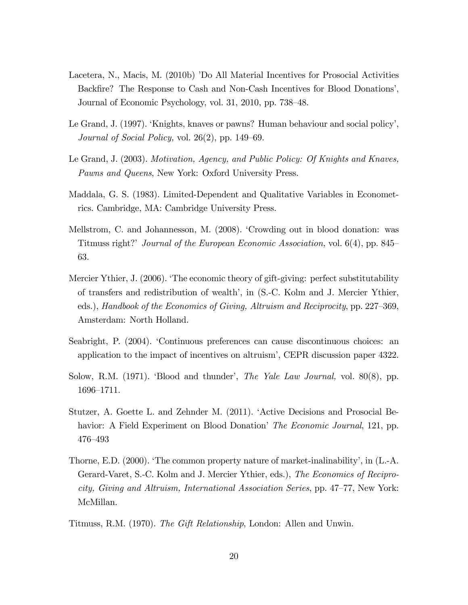- Lacetera, N., Macis, M. (2010b) 'Do All Material Incentives for Prosocial Activities Backfire? The Response to Cash and Non-Cash Incentives for Blood Donations', Journal of Economic Psychology, vol. 31, 2010, pp. 738–48.
- Le Grand, J. (1997). 'Knights, knaves or pawns? Human behaviour and social policy', Journal of Social Policy, vol.  $26(2)$ , pp.  $149-69$ .
- Le Grand, J. (2003). Motivation, Agency, and Public Policy: Of Knights and Knaves, Pawns and Queens, New York: Oxford University Press.
- Maddala, G. S. (1983). Limited-Dependent and Qualitative Variables in Econometrics. Cambridge, MA: Cambridge University Press.
- Mellstrom, C. and Johannesson, M. (2008). ëCrowding out in blood donation: was Titmuss right? *Journal of the European Economic Association*, vol.  $6(4)$ , pp. 845 63.
- Mercier Ythier, J. (2006). The economic theory of gift-giving: perfect substitutability of transfers and redistribution of wealth<sup>†</sup>, in (S.-C. Kolm and J. Mercier Ythier, eds.), Handbook of the Economics of Giving, Altruism and Reciprocity, pp.  $227-369$ , Amsterdam: North Holland.
- Seabright, P. (2004). ëContinuous preferences can cause discontinuous choices: an application to the impact of incentives on altruism<sup>7</sup>, CEPR discussion paper 4322.
- Solow, R.M.  $(1971)$ . Blood and thunder', *The Yale Law Journal*, vol.  $80(8)$ , pp. 1696-1711.
- Stutzer, A. Goette L. and Zehnder M. (2011). 'Active Decisions and Prosocial Behavior: A Field Experiment on Blood Donation<sup>'</sup> The Economic Journal, 121, pp. 476–493
- Thorne, E.D.  $(2000)$ . The common property nature of market-inalinability', in  $(L-A)$ . Gerard-Varet, S.-C. Kolm and J. Mercier Ythier, eds.), The Economics of Reciprocity, Giving and Altruism, International Association Series, pp.  $47-77$ , New York: McMillan.

Titmuss, R.M. (1970). The Gift Relationship, London: Allen and Unwin.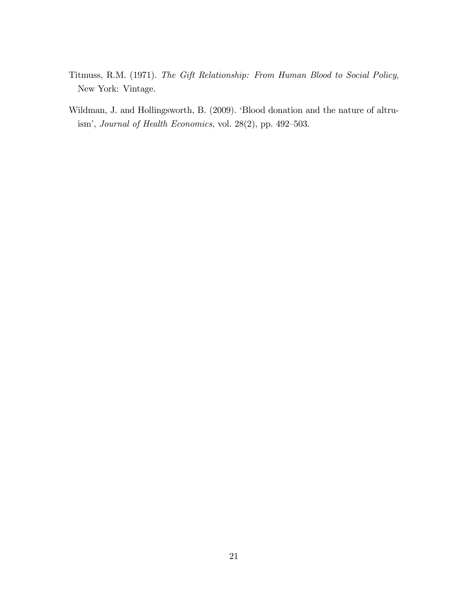- Titmuss, R.M. (1971). The Gift Relationship: From Human Blood to Social Policy, New York: Vintage.
- Wildman, J. and Hollingsworth, B. (2009). 'Blood donation and the nature of altruism', Journal of Health Economics, vol.  $28(2)$ , pp.  $492-503$ .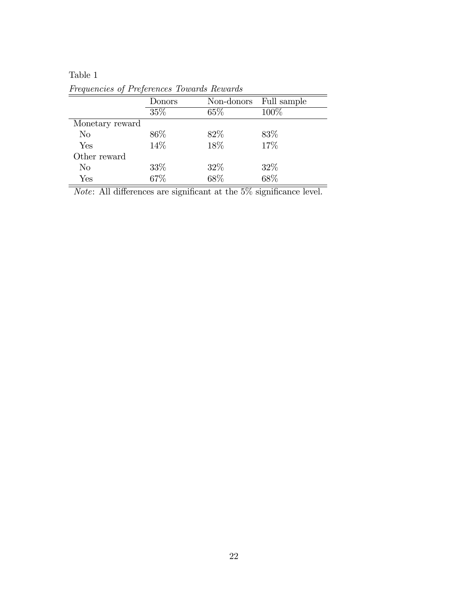|                 | Donors |      | Non-donors Full sample |  |
|-----------------|--------|------|------------------------|--|
|                 | 35%    | 65\% | 100\%                  |  |
| Monetary reward |        |      |                        |  |
| No              | 86\%   | 82%  | 83%                    |  |
| Yes             | 14\%   | 18%  | 17%                    |  |
| Other reward    |        |      |                        |  |
| No              | 33\%   | 32%  | 32%                    |  |
| Yes             | 67%    | 68\% | 68%                    |  |

Frequencies of Preferences Towards Rewards

Table 1

*Note*: All differences are significant at the  $5\%$  significance level.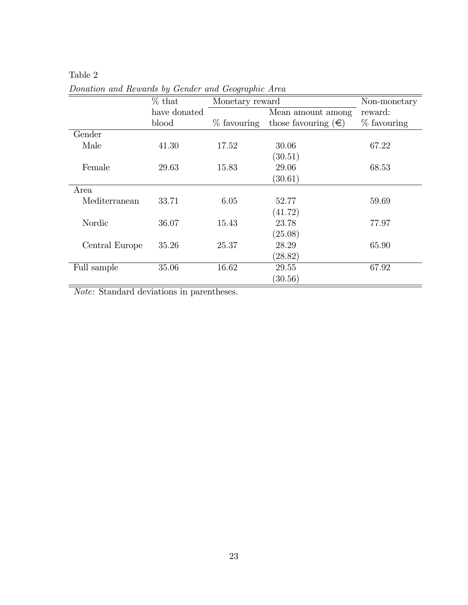### Table 2

|                | $%$ that     |                | Monetary reward              |               |  |
|----------------|--------------|----------------|------------------------------|---------------|--|
|                | have donated |                | Mean amount among            | reward:       |  |
|                | blood        | $\%$ favouring | those favouring $(\epsilon)$ | $%$ favouring |  |
| Gender         |              |                |                              |               |  |
| Male           | 41.30        | 17.52          | 30.06                        | 67.22         |  |
|                |              |                | (30.51)                      |               |  |
| Female         | 29.63        | 15.83          | 29.06                        | 68.53         |  |
|                |              |                | (30.61)                      |               |  |
| Area           |              |                |                              |               |  |
| Mediterranean  | 33.71        | 6.05           | 52.77                        | 59.69         |  |
|                |              |                | (41.72)                      |               |  |
| Nordic         | 36.07        | 15.43          | 23.78                        | 77.97         |  |
|                |              |                | (25.08)                      |               |  |
| Central Europe | 35.26        | 25.37          | 28.29                        | 65.90         |  |
|                |              |                | (28.82)                      |               |  |
| Full sample    | 35.06        | 16.62          | 29.55                        | 67.92         |  |
|                |              |                | (30.56)                      |               |  |

Donation and Rewards by Gender and Geographic Area

Note: Standard deviations in parentheses.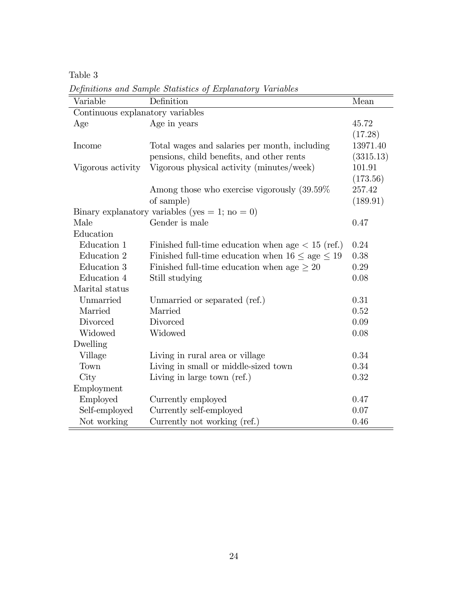Table 3

| Variable                         | Definition                                              | Mean      |
|----------------------------------|---------------------------------------------------------|-----------|
| Continuous explanatory variables |                                                         |           |
| Age                              | Age in years                                            | 45.72     |
|                                  |                                                         | (17.28)   |
| Income                           | Total wages and salaries per month, including           | 13971.40  |
|                                  | pensions, child benefits, and other rents               | (3315.13) |
| Vigorous activity                | Vigorous physical activity (minutes/week)               | 101.91    |
|                                  |                                                         | (173.56)  |
|                                  | Among those who exercise vigorously (39.59%)            | 257.42    |
|                                  | of sample)                                              | (189.91)  |
|                                  | Binary explanatory variables (yes = 1; no = 0)          |           |
| Male                             | Gender is male                                          | 0.47      |
| Education                        |                                                         |           |
| Education 1                      | Finished full-time education when age $< 15$ (ref.)     | 0.24      |
| Education 2                      | Finished full-time education when $16 \leq age \leq 19$ | 0.38      |
| Education 3                      | Finished full-time education when age $\geq 20$         | 0.29      |
| Education 4                      | Still studying                                          | 0.08      |
| Marital status                   |                                                         |           |
| Unmarried                        | Unmarried or separated (ref.)                           | 0.31      |
| Married                          | Married                                                 | 0.52      |
| Divorced                         | Divorced                                                | 0.09      |
| Widowed                          | Widowed                                                 | 0.08      |
| Dwelling                         |                                                         |           |
| Village                          | Living in rural area or village                         | 0.34      |
| Town                             | Living in small or middle-sized town                    | 0.34      |
| City                             | Living in large town (ref.)                             | 0.32      |
| Employment                       |                                                         |           |
| Employed                         | Currently employed                                      | 0.47      |
| Self-employed                    | Currently self-employed                                 | 0.07      |
| Not working                      | Currently not working (ref.)                            | 0.46      |

DeÖnitions and Sample Statistics of Explanatory Variables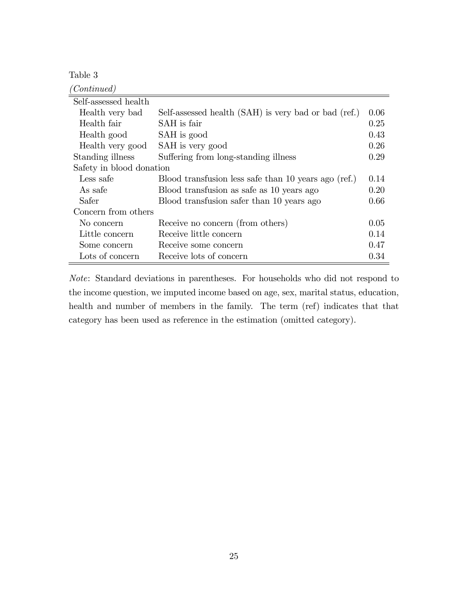Table 3

| 'Continued)              |                                                      |      |
|--------------------------|------------------------------------------------------|------|
| Self-assessed health     |                                                      |      |
| Health very bad          | Self-assessed health (SAH) is very bad or bad (ref.) | 0.06 |
| Health fair              | SAH is fair                                          | 0.25 |
| Health good              | SAH is good                                          | 0.43 |
| Health very good         | SAH is very good                                     | 0.26 |
| Standing illness         | Suffering from long-standing illness                 | 0.29 |
| Safety in blood donation |                                                      |      |
| Less safe                | Blood transfusion less safe than 10 years ago (ref.) | 0.14 |
| As safe                  | Blood transfusion as safe as 10 years ago            | 0.20 |
| Safer                    | Blood transfusion safer than 10 years ago            | 0.66 |
| Concern from others      |                                                      |      |
| No concern               | Receive no concern (from others)                     | 0.05 |
| Little concern           | Receive little concern                               | 0.14 |
| Some concern             | Receive some concern                                 | 0.47 |
| Lots of concern          | Receive lots of concern                              | 0.34 |

Note: Standard deviations in parentheses. For households who did not respond to the income question, we imputed income based on age, sex, marital status, education, health and number of members in the family. The term (ref) indicates that that category has been used as reference in the estimation (omitted category).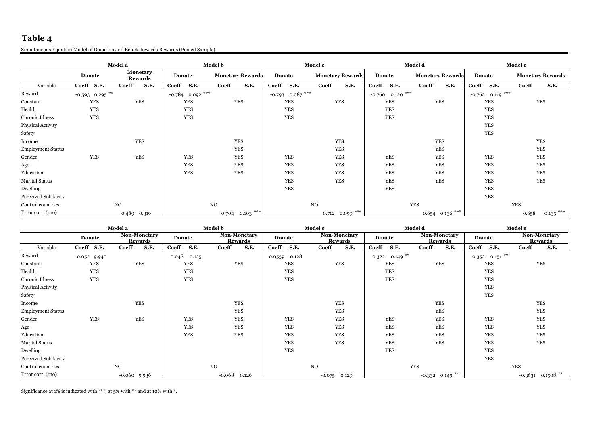### **Table 4**

Simultaneous Equation Model of Donation and Beliefs towards Rewards (Pooled Sample)

|                          |                              | Model a                           |                               | <b>Model b</b>               |                               | Model c                 |                               | Model d                 |                               | <b>Model e</b>          |
|--------------------------|------------------------------|-----------------------------------|-------------------------------|------------------------------|-------------------------------|-------------------------|-------------------------------|-------------------------|-------------------------------|-------------------------|
|                          | Donate                       | <b>Monetary</b><br><b>Rewards</b> | Donate                        | <b>Monetary Rewards</b>      | <b>Donate</b>                 | <b>Monetary Rewards</b> | Donate                        | <b>Monetary Rewards</b> | Donate                        | <b>Monetary Rewards</b> |
| Variable                 | Coeff S.E.                   | <b>S.E.</b><br>Coeff              | Coeff<br><b>S.E.</b>          | Coeff<br>S.E.                | Coeff<br><b>S.E.</b>          | Coeff<br>S.E.           | Coeff<br>S.E.                 | Coeff<br><b>S.E.</b>    | Coeff<br>S.E.                 | Coeff<br><b>S.E.</b>    |
| Reward                   | $-0.593$ 0.295 <sup>**</sup> |                                   | $-0.784$ 0.092 <sup>***</sup> |                              | $-0.793$ 0.087 <sup>***</sup> |                         | $-0.760$ 0.120 <sup>***</sup> |                         | $-0.762$ 0.119 <sup>***</sup> |                         |
| Constant                 | <b>YES</b>                   | <b>YES</b>                        | <b>YES</b>                    | <b>YES</b>                   | <b>YES</b>                    | <b>YES</b>              | <b>YES</b>                    | <b>YES</b>              | <b>YES</b>                    | <b>YES</b>              |
| Health                   | <b>YES</b>                   |                                   | <b>YES</b>                    |                              | <b>YES</b>                    |                         | <b>YES</b>                    |                         | <b>YES</b>                    |                         |
| Chronic Illness          | <b>YES</b>                   |                                   | <b>YES</b>                    |                              | <b>YES</b>                    |                         | <b>YES</b>                    |                         | <b>YES</b>                    |                         |
| Physical Activity        |                              |                                   |                               |                              |                               |                         |                               |                         | <b>YES</b>                    |                         |
| Safety                   |                              |                                   |                               |                              |                               |                         |                               |                         | <b>YES</b>                    |                         |
| Income                   |                              | <b>YES</b>                        |                               | <b>YES</b>                   |                               | <b>YES</b>              |                               | <b>YES</b>              |                               | <b>YES</b>              |
| <b>Employment Status</b> |                              |                                   |                               | <b>YES</b>                   |                               | <b>YES</b>              |                               | <b>YES</b>              |                               | <b>YES</b>              |
| Gender                   | <b>YES</b>                   | <b>YES</b>                        | <b>YES</b>                    | <b>YES</b>                   | <b>YES</b>                    | YES                     | <b>YES</b>                    | <b>YES</b>              | <b>YES</b>                    | <b>YES</b>              |
| Age                      |                              |                                   | <b>YES</b>                    | <b>YES</b>                   | <b>YES</b>                    | <b>YES</b>              | <b>YES</b>                    | <b>YES</b>              | <b>YES</b>                    | <b>YES</b>              |
| Education                |                              |                                   | <b>YES</b>                    | <b>YES</b>                   | <b>YES</b>                    | <b>YES</b>              | <b>YES</b>                    | <b>YES</b>              | <b>YES</b>                    | <b>YES</b>              |
| <b>Marital Status</b>    |                              |                                   |                               |                              | <b>YES</b>                    | YES                     | <b>YES</b>                    | <b>YES</b>              | <b>YES</b>                    | <b>YES</b>              |
| Dwelling                 |                              |                                   |                               |                              | <b>YES</b>                    |                         | <b>YES</b>                    |                         | <b>YES</b>                    |                         |
| Perceived Solidarity     |                              |                                   |                               |                              |                               |                         |                               |                         | <b>YES</b>                    |                         |
| Control countries        |                              | NO                                |                               | N <sub>O</sub>               |                               | NO                      |                               | <b>YES</b>              |                               | <b>YES</b>              |
| Error corr. (rho)        |                              | 0.489 0.316                       |                               | $0.704$ 0.103 <sup>***</sup> |                               | ***<br>0.712 0.099      |                               | $0.654$ $0.136$ ***     |                               | $0.135$ ***<br>0.658    |

|                          |             | Model a                        |                      | <b>Model b</b>                 |                      | Model c                        |                               | Model d                        |                    | Model e                 |
|--------------------------|-------------|--------------------------------|----------------------|--------------------------------|----------------------|--------------------------------|-------------------------------|--------------------------------|--------------------|-------------------------|
|                          | Donate      | Non-Monetary<br><b>Rewards</b> | Donate               | Non-Monetary<br><b>Rewards</b> | Donate               | Non-Monetary<br><b>Rewards</b> | Donate                        | Non-Monetary<br><b>Rewards</b> | Donate             | Non-Monetary<br>Rewards |
| Variable                 | Coeff S.E.  | S.E.<br>Coeff                  | Coeff<br><b>S.E.</b> | S.E.<br>Coeff                  | Coeff<br><b>S.E.</b> | Coeff<br>S.E.                  | Coeff<br><b>S.E.</b>          | <b>S.E.</b><br>Coeff           | Coeff<br>S.E.      | Coeff<br><b>S.E.</b>    |
| Reward                   | 0.052 9.940 |                                | 0.048 0.125          |                                | 0.0559 0.128         |                                | $0.322$ $0.149$ <sup>**</sup> |                                | $0.352$ $0.151$ ** |                         |
| Constant                 | <b>YES</b>  | <b>YES</b>                     | <b>YES</b>           | <b>YES</b>                     | <b>YES</b>           | <b>YES</b>                     | <b>YES</b>                    | <b>YES</b>                     | <b>YES</b>         | <b>YES</b>              |
| Health                   | <b>YES</b>  |                                | <b>YES</b>           |                                | <b>YES</b>           |                                | <b>YES</b>                    |                                | <b>YES</b>         |                         |
| Chronic Illness          | <b>YES</b>  |                                | <b>YES</b>           |                                | <b>YES</b>           |                                | <b>YES</b>                    |                                | <b>YES</b>         |                         |
| Physical Activity        |             |                                |                      |                                |                      |                                |                               |                                | <b>YES</b>         |                         |
| Safety                   |             |                                |                      |                                |                      |                                |                               |                                | <b>YES</b>         |                         |
| Income                   |             | <b>YES</b>                     |                      | <b>YES</b>                     |                      | <b>YES</b>                     |                               | <b>YES</b>                     |                    | <b>YES</b>              |
| <b>Employment Status</b> |             |                                |                      | <b>YES</b>                     |                      | <b>YES</b>                     |                               | <b>YES</b>                     |                    | <b>YES</b>              |
| Gender                   | <b>YES</b>  | <b>YES</b>                     | <b>YES</b>           | <b>YES</b>                     | <b>YES</b>           | <b>YES</b>                     | <b>YES</b>                    | <b>YES</b>                     | <b>YES</b>         | <b>YES</b>              |
| Age                      |             |                                | <b>YES</b>           | <b>YES</b>                     | <b>YES</b>           | <b>YES</b>                     | <b>YES</b>                    | <b>YES</b>                     | <b>YES</b>         | <b>YES</b>              |
| Education                |             |                                | <b>YES</b>           | <b>YES</b>                     | <b>YES</b>           | <b>YES</b>                     | <b>YES</b>                    | <b>YES</b>                     | <b>YES</b>         | <b>YES</b>              |
| <b>Marital Status</b>    |             |                                |                      |                                | <b>YES</b>           | <b>YES</b>                     | <b>YES</b>                    | <b>YES</b>                     | <b>YES</b>         | <b>YES</b>              |
| Dwelling                 |             |                                |                      |                                | <b>YES</b>           |                                | <b>YES</b>                    |                                | <b>YES</b>         |                         |
| Perceived Solidarity     |             |                                |                      |                                |                      |                                |                               |                                | <b>YES</b>         |                         |
| Control countries        |             | N <sub>O</sub>                 |                      | N <sub>O</sub>                 |                      | NO                             |                               | <b>YES</b>                     |                    | <b>YES</b>              |
| Error corr. (rho)        |             | $-0.060$ 9.936                 |                      | $-0.068$ 0.126                 |                      | 0.129<br>$-0.075$              |                               | $-0.332$ 0.149 <sup>**</sup>   |                    | $-0.3631$ 0.1508 **     |

Significance at 1% is indicated with \*\*\*, at 5% with \*\* and at 10% with \*.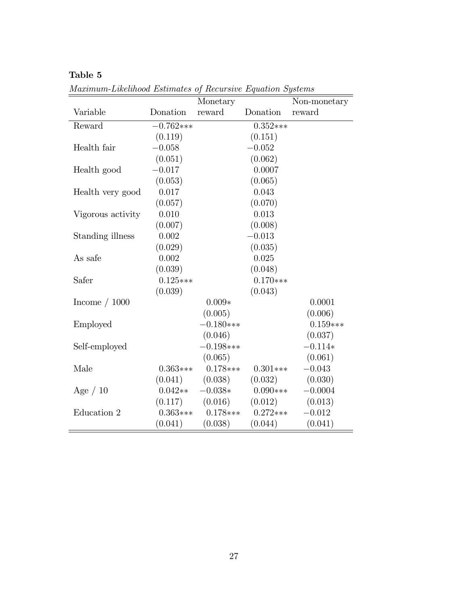### Table 5

|                   |             | Monetary    |             | Non-monetary |
|-------------------|-------------|-------------|-------------|--------------|
| Variable          | Donation    | reward      | Donation    | reward       |
| Reward            | $-0.762***$ |             | $0.352***$  |              |
|                   | (0.119)     |             | (0.151)     |              |
| Health fair       | $-0.058$    |             | $-0.052$    |              |
|                   | (0.051)     |             | (0.062)     |              |
| Health good       | $-0.017$    |             | 0.0007      |              |
|                   | (0.053)     |             | (0.065)     |              |
| Health very good  | 0.017       |             | 0.043       |              |
|                   | (0.057)     |             | (0.070)     |              |
| Vigorous activity | 0.010       |             | 0.013       |              |
|                   | (0.007)     |             | (0.008)     |              |
| Standing illness  | 0.002       |             | $-0.013$    |              |
|                   | (0.029)     |             | (0.035)     |              |
| As safe           | 0.002       |             | 0.025       |              |
|                   | (0.039)     |             | (0.048)     |              |
| Safer             | $0.125***$  |             | $0.170***$  |              |
|                   | (0.039)     |             | (0.043)     |              |
| Income $/ 1000$   |             | $0.009*$    |             | 0.0001       |
|                   |             | (0.005)     |             | (0.006)      |
| Employed          |             | $-0.180***$ |             | $0.159***$   |
|                   |             | (0.046)     |             | (0.037)      |
| Self-employed     |             | $-0.198***$ |             | $-0.114*$    |
|                   |             | (0.065)     |             | (0.061)      |
| Male              | $0.363***$  | $0.178***$  | $0.301***$  | $-0.043$     |
|                   | (0.041)     | (0.038)     | (0.032)     | (0.030)      |
| Age $/10$         | $0.042**$   | $-0.038*$   | $0.090$ *** | $-0.0004$    |
|                   | (0.117)     | (0.016)     | (0.012)     | (0.013)      |
| Education 2       | $0.363***$  | $0.178***$  | $0.272***$  | $-0.012$     |
|                   | (0.041)     | (0.038)     | (0.044)     | (0.041)      |

Maximum-Likelihood Estimates of Recursive Equation Systems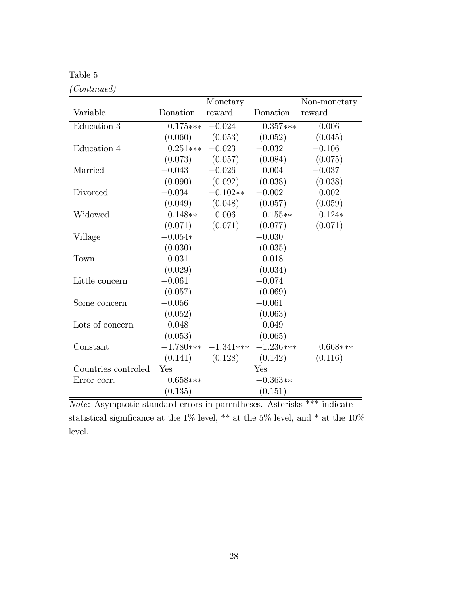Table 5

| ,,,,,,,,<br>-<br>. . |
|----------------------|
|                      |

|                     |                     | Monetary    |             | Non-monetary |
|---------------------|---------------------|-------------|-------------|--------------|
| Variable            | Donation            | reward      | Donation    | reward       |
| Education 3         | $0.175*** -0.024$   |             | $0.357***$  | 0.006        |
|                     | (0.060)             | (0.053)     | (0.052)     | (0.045)      |
| Education 4         | $0.251***$          | $-0.023$    | $-0.032$    | $-0.106$     |
|                     | (0.073)             | (0.057)     | (0.084)     | (0.075)      |
| Married             | $-0.043$            | $-0.026$    | 0.004       | $-0.037$     |
|                     | (0.090)             | (0.092)     | (0.038)     | (0.038)      |
| Divorced            | $-0.034$            | $-0.102**$  | $-0.002$    | 0.002        |
|                     | $(0.049)$ $(0.048)$ |             | (0.057)     | (0.059)      |
| Widowed             | $0.148**$           | $-0.006$    | $-0.155**$  | $-0.124*$    |
|                     | (0.071)             | (0.071)     | (0.077)     | (0.071)      |
| Village             | $-0.054*$           |             | $-0.030$    |              |
|                     | (0.030)             |             | (0.035)     |              |
| Town                | $-0.031$            |             | $-0.018$    |              |
|                     | (0.029)             |             | (0.034)     |              |
| Little concern      | $-0.061$            |             | $-0.074$    |              |
|                     | (0.057)             |             | (0.069)     |              |
| Some concern        | $-0.056$            |             | $-0.061$    |              |
|                     | (0.052)             |             | (0.063)     |              |
| Lots of concern     | $-0.048$            |             | $-0.049$    |              |
|                     | (0.053)             |             | (0.065)     |              |
| Constant            | $-1.780***$         | $-1.341***$ | $-1.236***$ | $0.668***$   |
|                     | (0.141)             | (0.128)     | (0.142)     | (0.116)      |
| Countries controled | Yes                 |             | Yes         |              |
| Error corr.         | $0.658***$          |             | $-0.363**$  |              |
|                     | (0.135)             |             | (0.151)     |              |

Note: Asymptotic standard errors in parentheses. Asterisks \*\*\* indicate statistical significance at the 1% level, \*\* at the 5% level, and \* at the  $10\%$ level.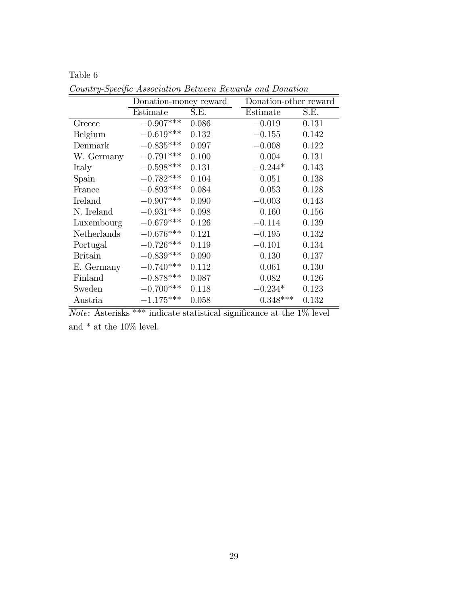Table 6

|                | Donation-money reward |       | Donation-other reward |       |
|----------------|-----------------------|-------|-----------------------|-------|
|                | Estimate              | S.E.  | Estimate              | S.E.  |
| Greece         | $-0.907***$           | 0.086 | $-0.019$              | 0.131 |
| Belgium        | $-0.619***$           | 0.132 | $-0.155$              | 0.142 |
| Denmark        | $-0.835***$           | 0.097 | $-0.008$              | 0.122 |
| W. Germany     | $-0.791***$           | 0.100 | 0.004                 | 0.131 |
| Italy          | $-0.598***$           | 0.131 | $-0.244*$             | 0.143 |
| Spain          | $-0.782***$           | 0.104 | 0.051                 | 0.138 |
| France         | $-0.893***$           | 0.084 | 0.053                 | 0.128 |
| Ireland        | $-0.907***$           | 0.090 | $-0.003$              | 0.143 |
| N. Ireland     | $-0.931***$           | 0.098 | 0.160                 | 0.156 |
| Luxembourg     | $-0.679***$           | 0.126 | $-0.114$              | 0.139 |
| Netherlands    | $-0.676***$           | 0.121 | $-0.195$              | 0.132 |
| Portugal       | $-0.726***$           | 0.119 | $-0.101$              | 0.134 |
| <b>Britain</b> | $-0.839***$           | 0.090 | 0.130                 | 0.137 |
| E. Germany     | $-0.740***$           | 0.112 | 0.061                 | 0.130 |
| Finland        | $-0.878***$           | 0.087 | 0.082                 | 0.126 |
| Sweden         | $-0.700***$           | 0.118 | $-0.234*$             | 0.123 |
| Austria        | $-1.175***$           | 0.058 | $0.348***$            | 0.132 |

 $\label{eq:1} Country\mbox{-}Specific\text{ }Association\text{ }Between\text{ }Rewends\text{ }and\text{ }Donation$ 

*Note*: Asterisks \*\*\* indicate statistical significance at the  $1\%$  level and \* at the 10% level.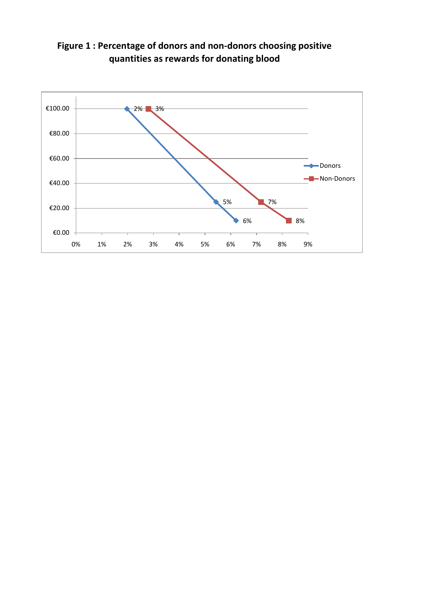

**Figure 1 : Percentage of donors and non-donors choosing positive quantities as rewards for donating blood**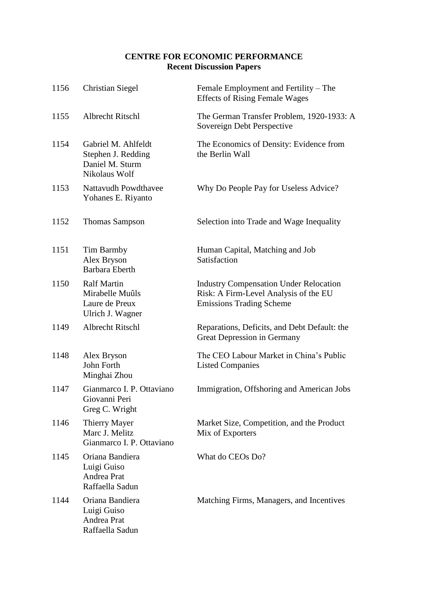### **CENTRE FOR ECONOMIC PERFORMANCE Recent Discussion Papers**

| 1156 | <b>Christian Siegel</b>                                                       | Female Employment and Fertility – The<br><b>Effects of Rising Female Wages</b>                                            |
|------|-------------------------------------------------------------------------------|---------------------------------------------------------------------------------------------------------------------------|
| 1155 | <b>Albrecht Ritschl</b>                                                       | The German Transfer Problem, 1920-1933: A<br>Sovereign Debt Perspective                                                   |
| 1154 | Gabriel M. Ahlfeldt<br>Stephen J. Redding<br>Daniel M. Sturm<br>Nikolaus Wolf | The Economics of Density: Evidence from<br>the Berlin Wall                                                                |
| 1153 | <b>Nattavudh Powdthavee</b><br>Yohanes E. Riyanto                             | Why Do People Pay for Useless Advice?                                                                                     |
| 1152 | <b>Thomas Sampson</b>                                                         | Selection into Trade and Wage Inequality                                                                                  |
| 1151 | Tim Barmby<br>Alex Bryson<br>Barbara Eberth                                   | Human Capital, Matching and Job<br>Satisfaction                                                                           |
| 1150 | <b>Ralf Martin</b><br>Mirabelle Muûls<br>Laure de Preux<br>Ulrich J. Wagner   | <b>Industry Compensation Under Relocation</b><br>Risk: A Firm-Level Analysis of the EU<br><b>Emissions Trading Scheme</b> |
| 1149 | <b>Albrecht Ritschl</b>                                                       | Reparations, Deficits, and Debt Default: the<br>Great Depression in Germany                                               |
| 1148 | Alex Bryson<br>John Forth<br>Minghai Zhou                                     | The CEO Labour Market in China's Public<br><b>Listed Companies</b>                                                        |
| 1147 | Gianmarco I. P. Ottaviano<br>Giovanni Peri<br>Greg C. Wright                  | Immigration, Offshoring and American Jobs                                                                                 |
| 1146 | <b>Thierry Mayer</b><br>Marc J. Melitz<br>Gianmarco I. P. Ottaviano           | Market Size, Competition, and the Product<br>Mix of Exporters                                                             |
| 1145 | Oriana Bandiera<br>Luigi Guiso<br>Andrea Prat<br>Raffaella Sadun              | What do CEOs Do?                                                                                                          |
| 1144 | Oriana Bandiera<br>Luigi Guiso<br>Andrea Prat<br>Raffaella Sadun              | Matching Firms, Managers, and Incentives                                                                                  |
|      |                                                                               |                                                                                                                           |